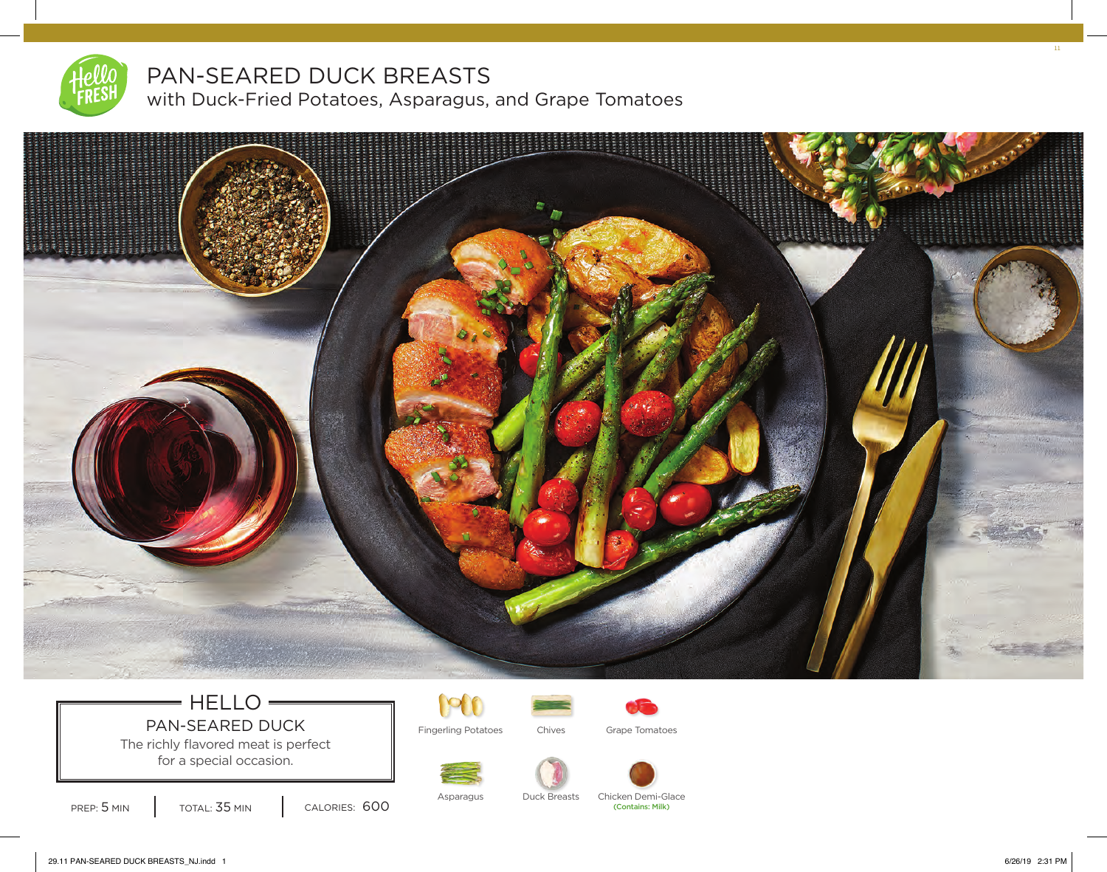

# PAN-SEARED DUCK BREASTS

with Duck-Fried Potatoes, Asparagus, and Grape Tomatoes



## $=$  HELLO  $=$ PAN-SEARED DUCK Fingerling Potatoes Chives Grape Tomatoes

The richly flavored meat is perfect for a special occasion.







PREP: 5 MIN | TOTAL: 35 MIN | CALORIES: 600



11